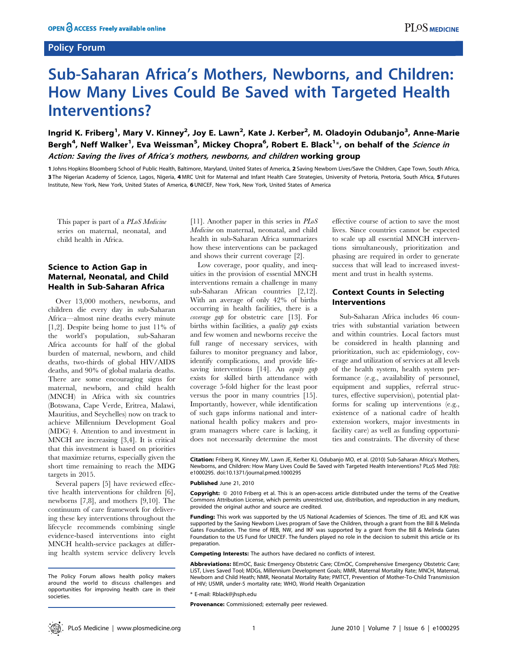## Policy Forum

# Sub-Saharan Africa's Mothers, Newborns, and Children: How Many Lives Could Be Saved with Targeted Health Interventions?

Ingrid K. Friberg<sup>1</sup>, Mary V. Kinney<sup>2</sup>, Joy E. Lawn<sup>2</sup>, Kate J. Kerber<sup>2</sup>, M. Oladoyin Odubanjo<sup>3</sup>, Anne-Marie Bergh<sup>4</sup>, Neff Walker<sup>1</sup>, Eva Weissman<sup>5</sup>, Mickey Chopra<sup>6</sup>, Robert E. Black<sup>1</sup>\*, on behalf of the *Science in* Action: Saving the lives of Africa's mothers, newborns, and children working group

1 Johns Hopkins Bloomberg School of Public Health, Baltimore, Maryland, United States of America, 2 Saving Newborn Lives/Save the Children, Cape Town, South Africa, 3 The Nigerian Academy of Science, Lagos, Nigeria, 4 MRC Unit for Maternal and Infant Health Care Strategies, University of Pretoria, Pretoria, South Africa, 5 Futures Institute, New York, New York, United States of America, 6 UNICEF, New York, New York, United States of America

This paper is part of a PLoS Medicine series on maternal, neonatal, and child health in Africa.

## Science to Action Gap in Maternal, Neonatal, and Child Health in Sub-Saharan Africa

Over 13,000 mothers, newborns, and children die every day in sub-Saharan Africa—almost nine deaths every minute [1,2]. Despite being home to just 11% of the world's population, sub-Saharan Africa accounts for half of the global burden of maternal, newborn, and child deaths, two-thirds of global HIV/AIDS deaths, and 90% of global malaria deaths. There are some encouraging signs for maternal, newborn, and child health (MNCH) in Africa with six countries (Botswana, Cape Verde, Eritrea, Malawi, Mauritius, and Seychelles) now on track to achieve Millennium Development Goal (MDG) 4. Attention to and investment in MNCH are increasing [3,4]. It is critical that this investment is based on priorities that maximize returns, especially given the short time remaining to reach the MDG targets in 2015.

Several papers [5] have reviewed effective health interventions for children [6], newborns [7,8], and mothers [9,10]. The continuum of care framework for delivering these key interventions throughout the lifecycle recommends combining single evidence-based interventions into eight MNCH health-service packages at differing health system service delivery levels [11]. Another paper in this series in  $PLoS$ Medicine on maternal, neonatal, and child health in sub-Saharan Africa summarizes how these interventions can be packaged and shows their current coverage [2].

Low coverage, poor quality, and inequities in the provision of essential MNCH interventions remain a challenge in many sub-Saharan African countries [2,12]. With an average of only 42% of births occurring in health facilities, there is a coverage gap for obstetric care [13]. For births within facilities, a quality gap exists and few women and newborns receive the full range of necessary services, with failures to monitor pregnancy and labor, identify complications, and provide lifesaving interventions [14]. An equity gap exists for skilled birth attendance with coverage 5-fold higher for the least poor versus the poor in many countries [15]. Importantly, however, while identification of such gaps informs national and international health policy makers and program managers where care is lacking, it does not necessarily determine the most effective course of action to save the most lives. Since countries cannot be expected to scale up all essential MNCH interventions simultaneously, prioritization and phasing are required in order to generate success that will lead to increased investment and trust in health systems.

## Context Counts in Selecting Interventions

Sub-Saharan Africa includes 46 countries with substantial variation between and within countries. Local factors must be considered in health planning and prioritization, such as: epidemiology, coverage and utilization of services at all levels of the health system, health system performance (e.g., availability of personnel, equipment and supplies, referral structures, effective supervision), potential platforms for scaling up interventions (e.g., existence of a national cadre of health extension workers, major investments in facility care) as well as funding opportunities and constraints. The diversity of these

Citation: Friberg IK, Kinney MV, Lawn JE, Kerber KJ, Odubanjo MO, et al. (2010) Sub-Saharan Africa's Mothers, Newborns, and Children: How Many Lives Could Be Saved with Targeted Health Interventions? PLoS Med 7(6): e1000295. doi:10.1371/journal.pmed.1000295

#### Published June 21, 2010

Copyright: © 2010 Friberg et al. This is an open-access article distributed under the terms of the Creative Commons Attribution License, which permits unrestricted use, distribution, and reproduction in any medium, provided the original author and source are credited.

Funding: This work was supported by the US National Academies of Sciences. The time of JEL and KJK was supported by the Saving Newborn Lives program of Save the Children, through a grant from the Bill & Melinda Gates Foundation. The time of REB, NW, and IKF was supported by a grant from the Bill & Melinda Gates Foundation to the US Fund for UNICEF. The funders played no role in the decision to submit this article or its preparation.

Competing Interests: The authors have declared no conflicts of interest.

Abbreviations: BEmOC, Basic Emergency Obstetric Care; CEmOC, Comprehensive Emergency Obstetric Care; LiST, Lives Saved Tool; MDGs, Millennium Development Goals; MMR, Maternal Mortality Rate; MNCH, Maternal, Newborn and Child Heath; NMR, Neonatal Mortality Rate; PMTCT, Prevention of Mother-To-Child Transmission of HIV; U5MR, under-5 mortality rate; WHO, World Health Organization

\* E-mail: Rblack@jhsph.edu

Provenance: Commissioned; externally peer reviewed.

The Policy Forum allows health policy makers around the world to discuss challenges and opportunities for improving health care in their societies.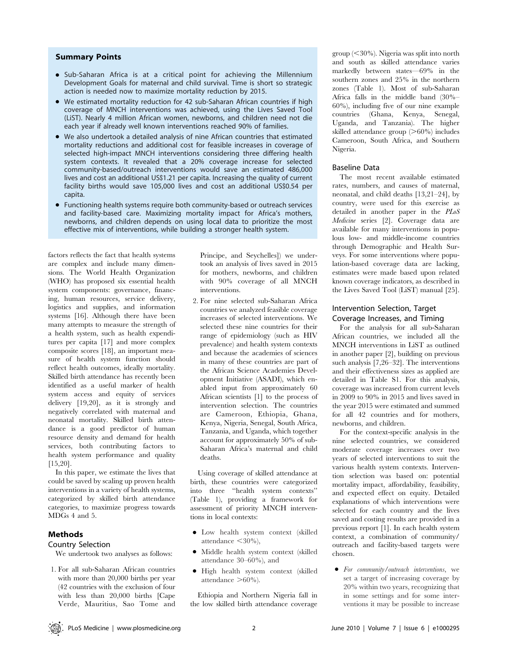#### Summary Points

- Sub-Saharan Africa is at a critical point for achieving the Millennium Development Goals for maternal and child survival. Time is short so strategic action is needed now to maximize mortality reduction by 2015.
- We estimated mortality reduction for 42 sub-Saharan African countries if high coverage of MNCH interventions was achieved, using the Lives Saved Tool (LiST). Nearly 4 million African women, newborns, and children need not die each year if already well known interventions reached 90% of families.
- We also undertook a detailed analysis of nine African countries that estimated mortality reductions and additional cost for feasible increases in coverage of selected high-impact MNCH interventions considering three differing health system contexts. It revealed that a 20% coverage increase for selected community-based/outreach interventions would save an estimated 486,000 lives and cost an additional US\$1.21 per capita. Increasing the quality of current facility births would save 105,000 lives and cost an additional US\$0.54 per capita.
- Functioning health systems require both community-based or outreach services and facility-based care. Maximizing mortality impact for Africa's mothers, newborns, and children depends on using local data to prioritize the most effective mix of interventions, while building a stronger health system.

factors reflects the fact that health systems are complex and include many dimensions. The World Health Organization (WHO) has proposed six essential health system components: governance, financing, human resources, service delivery, logistics and supplies, and information systems [16]. Although there have been many attempts to measure the strength of a health system, such as health expenditures per capita [17] and more complex composite scores [18], an important measure of health system function should reflect health outcomes, ideally mortality. Skilled birth attendance has recently been identified as a useful marker of health system access and equity of services delivery [19,20], as it is strongly and negatively correlated with maternal and neonatal mortality. Skilled birth attendance is a good predictor of human resource density and demand for health services, both contributing factors to health system performance and quality [15,20].

In this paper, we estimate the lives that could be saved by scaling up proven health interventions in a variety of health systems, categorized by skilled birth attendance categories, to maximize progress towards MDGs 4 and 5.

#### Methods

#### Country Selection

We undertook two analyses as follows:

1. For all sub-Saharan African countries with more than 20,000 births per year (42 countries with the exclusion of four with less than 20,000 births [Cape Verde, Mauritius, Sao Tome and Principe, and Seychelles]) we undertook an analysis of lives saved in 2015 for mothers, newborns, and children with 90% coverage of all MNCH interventions.

2. For nine selected sub-Saharan Africa countries we analyzed feasible coverage increases of selected interventions. We selected these nine countries for their range of epidemiology (such as HIV prevalence) and health system contexts and because the academies of sciences in many of these countries are part of the African Science Academies Development Initiative (ASADI), which enabled input from approximately 60 African scientists [1] to the process of intervention selection. The countries are Cameroon, Ethiopia, Ghana, Kenya, Nigeria, Senegal, South Africa, Tanzania, and Uganda, which together account for approximately 50% of sub-Saharan Africa's maternal and child deaths.

Using coverage of skilled attendance at birth, these countries were categorized into three ''health system contexts'' (Table 1), providing a framework for assessment of priority MNCH interventions in local contexts:

- $\bullet$  Low health system context (skilled attendance  $\langle 30\% \rangle$ ,
- $\bullet$  Middle health system context (skilled attendance 30–60%), and
- $\bullet$  High health system context (skilled attendance  $>60\%$ ).

Ethiopia and Northern Nigeria fall in the low skilled birth attendance coverage

 $\gamma$ group (<30%). Nigeria was split into north and south as skilled attendance varies markedly between states—69% in the southern zones and 25% in the northern zones (Table 1). Most of sub-Saharan Africa falls in the middle band (30%– 60%), including five of our nine example countries (Ghana, Kenya, Senegal, Uganda, and Tanzania). The higher skilled attendance group  $(>60\%)$  includes Cameroon, South Africa, and Southern Nigeria.

#### Baseline Data

The most recent available estimated rates, numbers, and causes of maternal, neonatal, and child deaths [13,21–24], by country, were used for this exercise as detailed in another paper in the PLoS Medicine series [2]. Coverage data are available for many interventions in populous low- and middle-income countries through Demographic and Health Surveys. For some interventions where population-based coverage data are lacking, estimates were made based upon related known coverage indicators, as described in the Lives Saved Tool (LiST) manual [25].

## Intervention Selection, Target Coverage Increases, and Timing

For the analysis for all sub-Saharan African countries, we included all the MNCH interventions in LiST as outlined in another paper [2], building on previous such analysis [7,26–32]. The interventions and their effectiveness sizes as applied are detailed in Table S1. For this analysis, coverage was increased from current levels in 2009 to 90% in 2015 and lives saved in the year 2015 were estimated and summed for all 42 countries and for mothers, newborns, and children.

For the context-specific analysis in the nine selected countries, we considered moderate coverage increases over two years of selected interventions to suit the various health system contexts. Intervention selection was based on: potential mortality impact, affordability, feasibility, and expected effect on equity. Detailed explanations of which interventions were selected for each country and the lives saved and costing results are provided in a previous report [1]. In each health system context, a combination of community/ outreach and facility-based targets were chosen.

• For community/outreach interventions, we set a target of increasing coverage by 20% within two years, recognizing that in some settings and for some interventions it may be possible to increase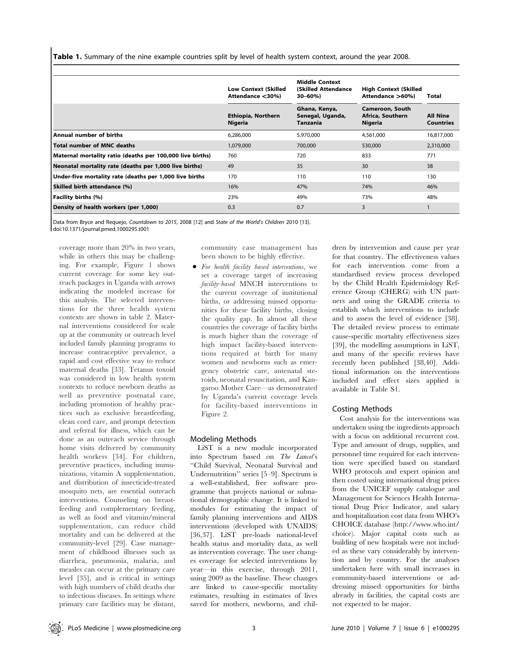Table 1. Summary of the nine example countries split by level of health system context, around the year 2008.

|                                                           | <b>Low Context (Skilled</b><br>Attendance <30%) | <b>Middle Context</b><br>(Skilled Attendance)<br>30-60%) | <b>High Context (Skilled</b><br>Attendance >60%) | Total                               |
|-----------------------------------------------------------|-------------------------------------------------|----------------------------------------------------------|--------------------------------------------------|-------------------------------------|
|                                                           | <b>Ethiopia, Northern</b><br>Nigeria            | Ghana, Kenya,<br>Senegal, Uganda,<br>Tanzania            | Cameroon, South<br>Africa, Southern<br>Nigeria   | <b>All Nine</b><br><b>Countries</b> |
| Annual number of births                                   | 6,286,000                                       | 5,970,000                                                | 4,561,000                                        | 16,817,000                          |
| <b>Total number of MNC deaths</b>                         | 1,079,000                                       | 700,000                                                  | 530,000                                          | 2,310,000                           |
| Maternal mortality ratio (deaths per 100,000 live births) | 760                                             | 720                                                      | 833                                              | 771                                 |
| Neonatal mortality rate (deaths per 1,000 live births)    | 49                                              | 35                                                       | 30                                               | 38                                  |
| Under-five mortality rate (deaths per 1,000 live births   | 170                                             | 110                                                      | 110                                              | 130                                 |
| Skilled birth attendance (%)                              | 16%                                             | 47%                                                      | 74%                                              | 46%                                 |
| Facility births (%)                                       | 23%                                             | 49%                                                      | 73%                                              | 48%                                 |
| Density of health workers (per 1,000)                     | 0.3                                             | 0.7                                                      | 3                                                |                                     |

Data from Bryce and Requejo, Countdown to 2015, 2008 [12] and State of the World's Children 2010 [13]. doi:10.1371/journal.pmed.1000295.t001

coverage more than 20% in two years, while in others this may be challenging. For example, Figure 1 shows current coverage for some key outreach packages in Uganda with arrows indicating the modeled increase for this analysis. The selected interventions for the three health system contexts are shown in table 2. Maternal interventions considered for scale up at the community or outreach level included family planning programs to increase contraceptive prevalence, a rapid and cost effective way to reduce maternal deaths [33]. Tetanus toxoid was considered in low health system contexts to reduce newborn deaths as well as preventive postnatal care, including promotion of healthy practices such as exclusive breastfeeding, clean cord care, and prompt detection and referral for illness, which can be done as an outreach service through home visits delivered by community health workers [34]. For children, preventive practices, including immunizations, vitamin A supplementation, and distribution of insecticide-treated mosquito nets, are essential outreach interventions. Counseling on breastfeeding and complementary feeding, as well as food and vitamin/mineral supplementation, can reduce child mortality and can be delivered at the community-level [29]. Case management of childhood illnesses such as diarrhea, pneumonia, malaria, and measles can occur at the primary care level [35], and is critical in settings with high numbers of child deaths due to infectious diseases. In settings where primary care facilities may be distant,

community case management has been shown to be highly effective.

 $\bullet$  For health facility based interventions, we set a coverage target of increasing facility-based MNCH interventions to the current coverage of institutional births, or addressing missed opportunities for these facility births, closing the quality gap. In almost all these countries the coverage of facility births is much higher than the coverage of high impact facility-based interventions required at birth for many women and newborns such as emergency obstetric care, antenatal steroids, neonatal resuscitation, and Kangaroo Mother Care—as demonstrated by Uganda's current coverage levels for facility-based interventions in Figure 2.

## Modeling Methods

LiST is a new module incorporated into Spectrum based on The Lancet's ''Child Survival, Neonatal Survival and Undernutrition'' series [5–9]. Spectrum is a well-established, free software programme that projects national or subnational demographic change. It is linked to modules for estimating the impact of family planning interventions and AIDS interventions (developed with UNAIDS) [36,37]. LiST pre-loads national-level health status and mortality data, as well as intervention coverage. The user changes coverage for selected interventions by year—in this exercise, through 2011, using 2009 as the baseline. These changes are linked to cause-specific mortality estimates, resulting in estimates of lives saved for mothers, newborns, and children by intervention and cause per year for that country. The effectiveness values for each intervention come from a standardised review process developed by the Child Health Epidemiology Reference Group (CHERG) with UN partners and using the GRADE criteria to establish which interventions to include and to assess the level of evidence [38]. The detailed review process to estimate cause-specific mortality effectiveness sizes [39], the modelling assumptions in LiST, and many of the specific reviews have recently been published [38,40]. Additional information on the interventions included and effect sizes applied is available in Table S1.

#### Costing Methods

Cost analysis for the interventions was undertaken using the ingredients approach with a focus on additional recurrent cost. Type and amount of drugs, supplies, and personnel time required for each intervention were specified based on standard WHO protocols and expert opinion and then costed using international drug prices from the UNICEF supply catalogue and Management for Sciences Health International Drug Price Indicator, and salary and hospitalization cost data from WHO's CHOICE database (http://www.who.int/ choice). Major capital costs such as building of new hospitals were not included as these vary considerably by intervention and by country. For the analyses undertaken here with small increases in community-based interventions or addressing missed opportunities for births already in facilities, the capital costs are not expected to be major.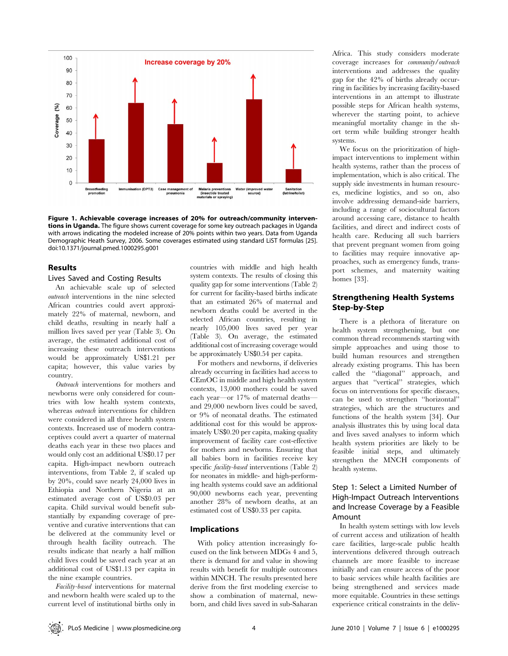

Figure 1. Achievable coverage increases of 20% for outreach/community interventions in Uganda. The figure shows current coverage for some key outreach packages in Uganda with arrows indicating the modeled increase of 20% points within two years. Data from Uganda Demographic Heath Survey, 2006. Some coverages estimated using standard LiST formulas [25]. doi:10.1371/journal.pmed.1000295.g001

#### Results

#### Lives Saved and Costing Results

An achievable scale up of selected outreach interventions in the nine selected African countries could avert approximately 22% of maternal, newborn, and child deaths, resulting in nearly half a million lives saved per year (Table 3). On average, the estimated additional cost of increasing these outreach interventions would be approximately US\$1.21 per capita; however, this value varies by country.

Outreach interventions for mothers and newborns were only considered for countries with low health system contexts, whereas outreach interventions for children were considered in all three health system contexts. Increased use of modern contraceptives could avert a quarter of maternal deaths each year in these two places and would only cost an additional US\$0.17 per capita. High-impact newborn outreach interventions, from Table 2, if scaled up by 20%, could save nearly 24,000 lives in Ethiopia and Northern Nigeria at an estimated average cost of US\$0.03 per capita. Child survival would benefit substantially by expanding coverage of preventive and curative interventions that can be delivered at the community level or through health facility outreach. The results indicate that nearly a half million child lives could be saved each year at an additional cost of US\$1.13 per capita in the nine example countries.

Facility-based interventions for maternal and newborn health were scaled up to the current level of institutional births only in countries with middle and high health system contexts. The results of closing this quality gap for some interventions (Table 2) for current for facility-based births indicate that an estimated 26% of maternal and newborn deaths could be averted in the selected African countries, resulting in nearly 105,000 lives saved per year (Table 3). On average, the estimated additional cost of increasing coverage would be approximately US\$0.54 per capita.

For mothers and newborns, if deliveries already occurring in facilities had access to CEmOC in middle and high health system contexts, 13,000 mothers could be saved each year—or 17% of maternal deaths and 29,000 newborn lives could be saved, or 9% of neonatal deaths. The estimated additional cost for this would be approximately US\$0.20 per capita, making quality improvement of facility care cost-effective for mothers and newborns. Ensuring that all babies born in facilities receive key specific *facility-based* interventions (Table 2) for neonates in middle- and high-performing health systems could save an additional 90,000 newborns each year, preventing another 28% of newborn deaths, at an estimated cost of US\$0.33 per capita.

#### Implications

With policy attention increasingly focused on the link between MDGs 4 and 5, there is demand for and value in showing results with benefit for multiple outcomes within MNCH. The results presented here derive from the first modeling exercise to show a combination of maternal, newborn, and child lives saved in sub-Saharan

Africa. This study considers moderate coverage increases for community/outreach interventions and addresses the quality gap for the 42% of births already occurring in facilities by increasing facility-based interventions in an attempt to illustrate possible steps for African health systems, wherever the starting point, to achieve meaningful mortality change in the short term while building stronger health systems.

We focus on the prioritization of highimpact interventions to implement within health systems, rather than the process of implementation, which is also critical. The supply side investments in human resources, medicine logistics, and so on, also involve addressing demand-side barriers, including a range of sociocultural factors around accessing care, distance to health facilities, and direct and indirect costs of health care. Reducing all such barriers that prevent pregnant women from going to facilities may require innovative approaches, such as emergency funds, transport schemes, and maternity waiting homes [33].

## Strengthening Health Systems Step-by-Step

There is a plethora of literature on health system strengthening, but one common thread recommends starting with simple approaches and using those to build human resources and strengthen already existing programs. This has been called the ''diagonal'' approach, and argues that ''vertical'' strategies, which focus on interventions for specific diseases, can be used to strengthen ''horizontal'' strategies, which are the structures and functions of the health system [34]. Our analysis illustrates this by using local data and lives saved analyses to inform which health system priorities are likely to be feasible initial steps, and ultimately strengthen the MNCH components of health systems.

## Step 1: Select a Limited Number of High-Impact Outreach Interventions and Increase Coverage by a Feasible Amount

In health system settings with low levels of current access and utilization of health care facilities, large-scale public health interventions delivered through outreach channels are more feasible to increase initially and can ensure access of the poor to basic services while health facilities are being strengthened and services made more equitable. Countries in these settings experience critical constraints in the deliv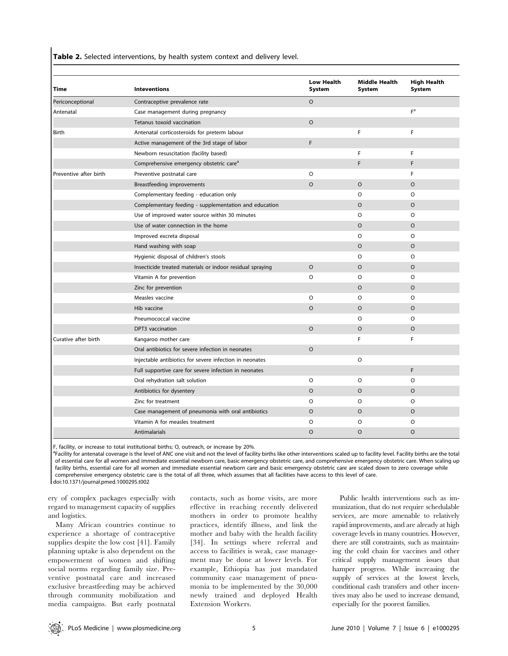Table 2. Selected interventions, by health system context and delivery level.

| Time                   | <b>Inteventions</b>                                       | Low Health<br>System | <b>Middle Health</b><br><b>System</b> | <b>High Health</b><br>System |
|------------------------|-----------------------------------------------------------|----------------------|---------------------------------------|------------------------------|
| Periconceptional       | Contraceptive prevalence rate                             | $\circ$              |                                       |                              |
| Antenatal              | Case management during pregnancy                          |                      |                                       | F <sup>a</sup>               |
|                        | Tetanus toxoid vaccination                                | $\circ$              |                                       |                              |
| Birth                  | Antenatal corticosteroids for preterm labour              |                      | F                                     | F                            |
|                        | Active management of the 3rd stage of labor               | F                    |                                       |                              |
|                        | Newborn resuscitation (facility based)                    |                      | F                                     | F                            |
|                        | Comprehensive emergency obstetric care <sup>a</sup>       |                      | F                                     | F                            |
| Preventive after birth | Preventive postnatal care                                 | O                    |                                       | F                            |
|                        | Breastfeeding improvements                                | $\circ$              | $\circ$                               | $\circ$                      |
|                        | Complementary feeding - education only                    |                      | $\circ$                               | $\circ$                      |
|                        | Complementary feeding - supplementation and education     |                      | $\circ$                               | $\circ$                      |
|                        | Use of improved water source within 30 minutes            |                      | O                                     | $\circ$                      |
|                        | Use of water connection in the home                       |                      | $\circ$                               | $\circ$                      |
|                        | Improved excreta disposal                                 |                      | $\circ$                               | $\circ$                      |
|                        | Hand washing with soap                                    |                      | $\circ$                               | $\circ$                      |
|                        | Hygienic disposal of children's stools                    |                      | $\circ$                               | $\circ$                      |
|                        | Insecticide treated materials or indoor residual spraying | $\circ$              | $\circ$                               | $\circ$                      |
|                        | Vitamin A for prevention                                  | $\circ$              | O                                     | $\circ$                      |
|                        | Zinc for prevention                                       |                      | $\circ$                               | $\circ$                      |
|                        | Measles vaccine                                           | $\circ$              | O                                     | $\circ$                      |
|                        | Hib vaccine                                               | $\circ$              | $\circ$                               | $\circ$                      |
|                        | Pneumococcal vaccine                                      |                      | O                                     | $\circ$                      |
|                        | DPT3 vaccination                                          | $\circ$              | $\circ$                               | $\circ$                      |
| Curative after birth   | Kangaroo mother care                                      |                      | F                                     | F                            |
|                        | Oral antibiotics for severe infection in neonates         | $\circ$              |                                       |                              |
|                        | Injectable antibiotics for severe infection in neonates   |                      | $\circ$                               |                              |
|                        | Full supportive care for severe infection in neonates     |                      |                                       | F.                           |
|                        | Oral rehydration salt solution                            | O                    | O                                     | $\circ$                      |
|                        | Antibiotics for dysentery                                 | $\circ$              | $\circ$                               | $\circ$                      |
|                        | Zinc for treatment                                        | $\circ$              | O                                     | $\circ$                      |
|                        | Case management of pneumonia with oral antibiotics        | $\circ$              | $\circ$                               | $\circ$                      |
|                        | Vitamin A for measles treatment                           | O                    | O                                     | $\circ$                      |
|                        | Antimalarials                                             | $\circ$              | $\circ$                               | $\circ$                      |

F, facility, or increase to total institutional births; O, outreach, or increase by 20%.

<sup>a</sup>Facility for antenatal coverage is the level of ANC one visit and not the level of facility births like other interventions scaled up to facility level. Facility births are the total of essential care for all women and immediate essential newborn care, basic emergency obstetric care, and comprehensive emergency obstetric care. When scaling up facility births, essential care for all women and immediate essential newborn care and basic emergency obstetric care are scaled down to zero coverage while comprehensive emergency obstetric care is the total of all three, which assumes that all facilities have access to this level of care. doi:10.1371/journal.pmed.1000295.t002

ery of complex packages especially with regard to management capacity of supplies and logistics.

Many African countries continue to experience a shortage of contraceptive supplies despite the low cost [41]. Family planning uptake is also dependent on the empowerment of women and shifting social norms regarding family size. Preventive postnatal care and increased exclusive breastfeeding may be achieved through community mobilization and media campaigns. But early postnatal contacts, such as home visits, are more effective in reaching recently delivered mothers in order to promote healthy practices, identify illness, and link the mother and baby with the health facility [34]. In settings where referral and access to facilities is weak, case management may be done at lower levels. For example, Ethiopia has just mandated community case management of pneumonia to be implemented by the 30,000 newly trained and deployed Health Extension Workers.

Public health interventions such as immunization, that do not require schedulable services, are more amenable to relatively rapid improvements, and are already at high coverage levels in many countries. However, there are still constraints, such as maintaining the cold chain for vaccines and other critical supply management issues that hamper progress. While increasing the supply of services at the lowest levels, conditional cash transfers and other incentives may also be used to increase demand, especially for the poorest families.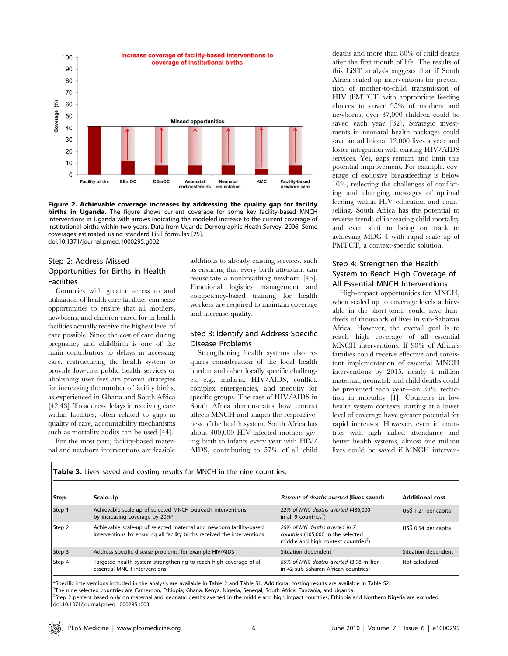

Figure 2. Achievable coverage increases by addressing the quality gap for facility births in Uganda. The figure shows current coverage for some key facility-based MNCH interventions in Uganda with arrows indicating the modeled increase to the current coverage of institutional births within two years. Data from Uganda Demographic Heath Survey, 2006. Some coverages estimated using standard LiST formulas [25]. doi:10.1371/journal.pmed.1000295.g002

## Step 2: Address Missed Opportunities for Births in Health Facilities

Countries with greater access to and utilization of health care facilities can seize opportunities to ensure that all mothers, newborns, and children cared for in health facilities actually receive the highest level of care possible. Since the cost of care during pregnancy and childbirth is one of the main contributors to delays in accessing care, restructuring the health system to provide low-cost public health services or abolishing user fees are proven strategies for increasing the number of facility births, as experienced in Ghana and South Africa [42,43]. To address delays in receiving care within facilities, often related to gaps in quality of care, accountability mechanisms such as mortality audits can be used [44].

For the most part, facility-based maternal and newborn interventions are feasible additions to already existing services, such as ensuring that every birth attendant can resuscitate a nonbreathing newborn [45]. Functional logistics management and competency-based training for health workers are required to maintain coverage and increase quality.

## Step 3: Identify and Address Specific Disease Problems

Strengthening health systems also requires consideration of the local health burden and other locally specific challenges, e.g., malaria, HIV/AIDS, conflict, complex emergencies, and inequity for specific groups. The case of HIV/AIDS in South Africa demonstrates how context affects MNCH and shapes the responsiveness of the health system. South Africa has about 300,000 HIV-infected mothers giving birth to infants every year with HIV/ AIDS, contributing to 57% of all child

deaths and more than 80% of child deaths after the first month of life. The results of this LiST analysis suggests that if South Africa scaled up interventions for prevention of mother-to-child transmission of HIV (PMTCT) with appropriate feeding choices to cover 95% of mothers and newborns, over 37,000 children could be saved each year [32]. Strategic investments in neonatal health packages could save an additional 12,000 lives a year and foster integration with existing HIV/AIDS services. Yet, gaps remain and limit this potential improvement. For example, coverage of exclusive breastfeeding is below 10%, reflecting the challenges of conflicting and changing messages of optimal feeding within HIV education and counselling. South Africa has the potential to reverse trends of increasing child mortality and even shift to being on track to achieving MDG 4 with rapid scale up of PMTCT, a context-specific solution.

## Step 4: Strengthen the Health System to Reach High Coverage of All Essential MNCH Interventions

High-impact opportunities for MNCH, when scaled up to coverage levels achievable in the short-term, could save hundreds of thousands of lives in sub-Saharan Africa. However, the overall goal is to reach high coverage of all essential MNCH interventions. If 90% of Africa's families could receive effective and consistent implementation of essential MNCH interventions by 2015, nearly 4 million maternal, neonatal, and child deaths could be prevented each year—an 85% reduction in mortality [1]. Countries in low health system contexts starting at a lower level of coverage have greater potential for rapid increases. However, even in countries with high skilled attendance and better health systems, almost one million lives could be saved if MNCH interven-

Table 3. Lives saved and costing results for MNCH in the nine countries.

| Scale-Up                                                                                                                                        | Percent of deaths averted (lives saved)                                                                                  | <b>Additional cost</b> |
|-------------------------------------------------------------------------------------------------------------------------------------------------|--------------------------------------------------------------------------------------------------------------------------|------------------------|
| Achievable scale-up of selected MNCH outreach interventions<br>by increasing coverage by 20%*                                                   | 22% of MNC deaths averted (486,000<br>in all 9 countries <sup><math>\dagger</math></sup> )                               | US\$ 1.21 per capita   |
| Achievable scale-up of selected maternal and newborn facility-based<br>interventions by ensuring all facility births received the interventions | 26% of MN deaths averted in 7<br>countries (105,000 in the selected<br>middle and high context countries <sup>\$</sup> ) | US\$ 0.54 per capita   |
| Address specific disease problems, for example HIV/AIDS                                                                                         | Situation dependent                                                                                                      | Situation dependent    |
| Targeted health system strengthening to reach high coverage of all<br>essential MNCH interventions                                              | 85% of MNC deaths averted (3.98 million<br>in 42 sub-Saharan African countries)                                          | Not calculated         |
|                                                                                                                                                 |                                                                                                                          |                        |

\*Specific interventions included in the analysis are available in Table 2 and Table S1. Additional costing results are available in Table S2. { The nine selected countries are Cameroon, Ethiopia, Ghana, Kenya, Nigeria, Senegal, South Africa, Tanzania, and Uganda. { Step 2 percent based only on maternal and neonatal deaths averted in the middle and high impact countries; Ethiopia and Northern Nigeria are excluded. doi:10.1371/journal.pmed.1000295.t003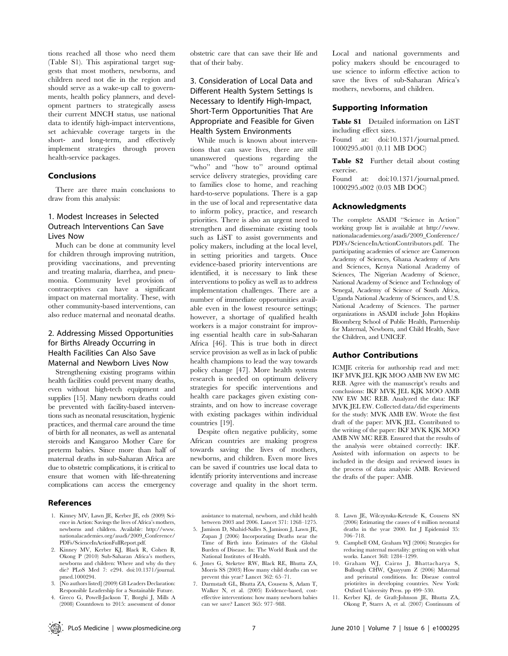tions reached all those who need them (Table S1). This aspirational target suggests that most mothers, newborns, and children need not die in the region and should serve as a wake-up call to governments, health policy planners, and development partners to strategically assess their current MNCH status, use national data to identify high-impact interventions, set achievable coverage targets in the short- and long-term, and effectively implement strategies through proven health-service packages.

## Conclusions

There are three main conclusions to draw from this analysis:

## 1. Modest Increases in Selected Outreach Interventions Can Save Lives Now

Much can be done at community level for children through improving nutrition, providing vaccinations, and preventing and treating malaria, diarrhea, and pneumonia. Community level provision of contraceptives can have a significant impact on maternal mortality. These, with other community-based interventions, can also reduce maternal and neonatal deaths.

## 2. Addressing Missed Opportunities for Births Already Occurring in Health Facilities Can Also Save Maternal and Newborn Lives Now

Strengthening existing programs within health facilities could prevent many deaths, even without high-tech equipment and supplies [15]. Many newborn deaths could be prevented with facility-based interventions such as neonatal resuscitation, hygienic practices, and thermal care around the time of birth for all neonates, as well as antenatal steroids and Kangaroo Mother Care for preterm babies. Since more than half of maternal deaths in sub-Saharan Africa are due to obstetric complications, it is critical to ensure that women with life-threatening complications can access the emergency

## References

- 1. Kinney MV, Lawn JE, Kerber JE, eds (2009) Science in Action: Savings the lives of Africa's mothers, newborns and children. Available: http://www. nationalacademies.org/asadi/2009\_Conference/ PDFs/ScienceInActionFullReport.pdf.
- 2. Kinney MV, Kerber KJ, Black R, Cohen B, Okong P (2010) Sub-Saharan Africa's mothers, newborns and children: Where and why do they die? PLoS Med 7: e294. doi:10.1371/journal. pmed.1000294.
- [No authors listed] (2009) G8 Leaders Declaration: Responsible Leadership for a Sustainable Future.
- 4. Greco G, Powell-Jackson T, Borghi J, Mills A (2008) Countdown to 2015: assessment of donor

obstetric care that can save their life and that of their baby.

## 3. Consideration of Local Data and Different Health System Settings Is Necessary to Identify High-Impact, Short-Term Opportunities That Are Appropriate and Feasible for Given Health System Environments

While much is known about interventions that can save lives, there are still unanswered questions regarding the "who" and "how to" around optimal service delivery strategies, providing care to families close to home, and reaching hard-to-serve populations. There is a gap in the use of local and representative data to inform policy, practice, and research priorities. There is also an urgent need to strengthen and disseminate existing tools such as LiST to assist governments and policy makers, including at the local level, in setting priorities and targets. Once evidence-based priority interventions are identified, it is necessary to link these interventions to policy as well as to address implementation challenges. There are a number of immediate opportunities available even in the lowest resource settings; however, a shortage of qualified health workers is a major constraint for improving essential health care in sub-Saharan Africa [46]. This is true both in direct service provision as well as in lack of public health champions to lead the way towards policy change [47]. More health systems research is needed on optimum delivery strategies for specific interventions and health care packages given existing constraints, and on how to increase coverage with existing packages within individual countries [19].

Despite often negative publicity, some African countries are making progress towards saving the lives of mothers, newborns, and children. Even more lives can be saved if countries use local data to identify priority interventions and increase coverage and quality in the short term.

assistance to maternal, newborn, and child health between 2003 and 2006. Lancet 371: 1268–1275.

- 5. Jamison D, Shahid-Salles S, Jamison J, Lawn JE, Zupan J (2006) Incorporating Deaths near the Time of Birth into Estimates of the Global Burden of Disease. In: The World Bank and the National Institutes of Health.
- 6. Jones G, Steketee RW, Black RE, Bhutta ZA, Morris SS (2003) How many child deaths can we prevent this year? Lancet 362: 65–71.
- 7. Darmstadt GL, Bhutta ZA, Cousens S, Adam T, Walker N, et al. (2005) Evidence-based, costeffective interventions: how many newborn babies can we save? Lancet 365: 977–988.

Local and national governments and policy makers should be encouraged to use science to inform effective action to save the lives of sub-Saharan Africa's mothers, newborns, and children.

## Supporting Information

Table S1 Detailed information on LiST including effect sizes.

Found at: doi:10.1371/journal.pmed. 1000295.s001 (0.11 MB DOC)

Table S2 Further detail about costing exercise.

Found at: doi:10.1371/journal.pmed. 1000295.s002 (0.03 MB DOC)

#### Acknowledgments

The complete ASADI ''Science in Action'' working group list is available at http://www. nationalacademies.org/asadi/2009\_Conference/ PDFs/ScienceInActionContributors.pdf. The participating academies of science are Cameroon Academy of Sciences, Ghana Academy of Arts and Sciences, Kenya National Academy of Sciences, The Nigerian Academy of Science, National Academy of Science and Technology of Senegal, Academy of Science of South Africa, Uganda National Academy of Sciences, and U.S. National Academy of Sciences. The partner organizations in ASADI include John Hopkins Bloomberg School of Public Health, Partnership for Maternal, Newborn, and Child Health, Save the Children, and UNICEF.

#### Author Contributions

ICMJE criteria for authorship read and met: IKF MVK JEL KJK MOO AMB NW EW MC REB. Agree with the manuscript's results and conclusions: IKF MVK JEL KJK MOO AMB NW EW MC REB. Analyzed the data: IKF MVK JEL EW. Collected data/did experiments for the study: MVK AMB EW. Wrote the first draft of the paper: MVK JEL. Contributed to the writing of the paper: IKF MVK KJK MOO AMB NW MC REB. Ensured that the results of the analysis were obtained correctly: IKF. Assisted with information on aspects to be included in the design and reviewed issues in the process of data analysis: AMB. Reviewed the drafts of the paper: AMB.

- 8. Lawn JE, Wilczynska-Ketende K, Cousens SN (2006) Estimating the causes of 4 million neonatal deaths in the year 2000. Int J Epidemiol 35: 706–718.
- 9. Campbell OM, Graham WJ (2006) Strategies for reducing maternal mortality: getting on with what works. Lancet 368: 1284–1299.
- 10. Graham WJ, Cairns J, Bhattacharya S, Bullough CHW, Quayyum Z (2006) Maternal and perinatal conditions. In: Disease control priotirites in developing countries. New York: Oxford University Press. pp 499–530.
- 11. Kerber KJ, de Graft-Johnson JE, Bhutta ZA, Okong P, Starrs A, et al. (2007) Continuum of